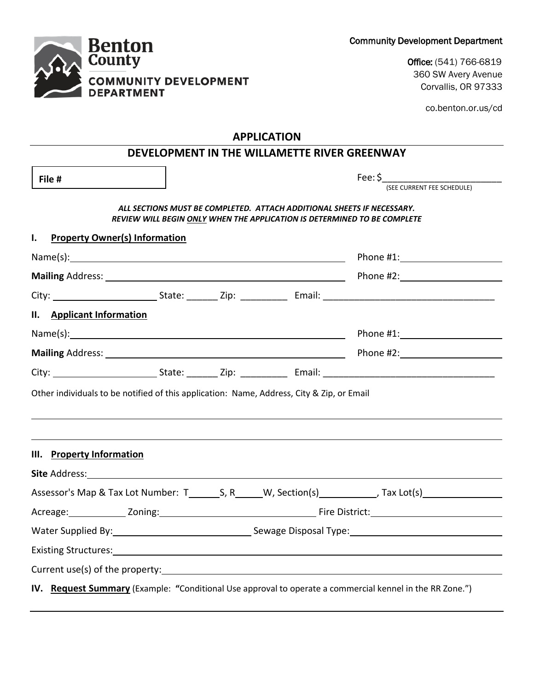| <b>Community Development Department</b> |  |  |
|-----------------------------------------|--|--|
|-----------------------------------------|--|--|



Office: (541) 766-6819 360 SW Avery Avenue Corvallis, OR 97333

co.benton.or.us/cd

## **APPLICATION**

| File #                                     |  |                                                                                                                                                    | $\mathsf{Fee:} \mathsf{S}$                                                                                                                                                                                                     |  |
|--------------------------------------------|--|----------------------------------------------------------------------------------------------------------------------------------------------------|--------------------------------------------------------------------------------------------------------------------------------------------------------------------------------------------------------------------------------|--|
|                                            |  |                                                                                                                                                    | (SEE CURRENT FEE SCHEDULE)                                                                                                                                                                                                     |  |
|                                            |  | ALL SECTIONS MUST BE COMPLETED. ATTACH ADDITIONAL SHEETS IF NECESSARY.<br>REVIEW WILL BEGIN ONLY WHEN THE APPLICATION IS DETERMINED TO BE COMPLETE |                                                                                                                                                                                                                                |  |
| I.<br><b>Property Owner(s) Information</b> |  |                                                                                                                                                    |                                                                                                                                                                                                                                |  |
|                                            |  |                                                                                                                                                    | Phone #1: New York Phone #1:                                                                                                                                                                                                   |  |
|                                            |  |                                                                                                                                                    |                                                                                                                                                                                                                                |  |
|                                            |  |                                                                                                                                                    |                                                                                                                                                                                                                                |  |
| II. Applicant Information                  |  |                                                                                                                                                    |                                                                                                                                                                                                                                |  |
|                                            |  |                                                                                                                                                    |                                                                                                                                                                                                                                |  |
|                                            |  |                                                                                                                                                    |                                                                                                                                                                                                                                |  |
|                                            |  |                                                                                                                                                    |                                                                                                                                                                                                                                |  |
|                                            |  |                                                                                                                                                    | ,我们也不会有什么。""我们的人,我们也不会有什么?""我们的人,我们也不会有什么?""我们的人,我们也不会有什么?""我们的人,我们也不会有什么?""我们的人                                                                                                                                               |  |
|                                            |  |                                                                                                                                                    |                                                                                                                                                                                                                                |  |
|                                            |  |                                                                                                                                                    |                                                                                                                                                                                                                                |  |
|                                            |  |                                                                                                                                                    |                                                                                                                                                                                                                                |  |
|                                            |  |                                                                                                                                                    |                                                                                                                                                                                                                                |  |
|                                            |  |                                                                                                                                                    | Existing Structures: Note and the second state of the second state of the second state of the second state of the second state of the second state of the second state of the second state of the second state of the second s |  |
| III. Property Information                  |  |                                                                                                                                                    |                                                                                                                                                                                                                                |  |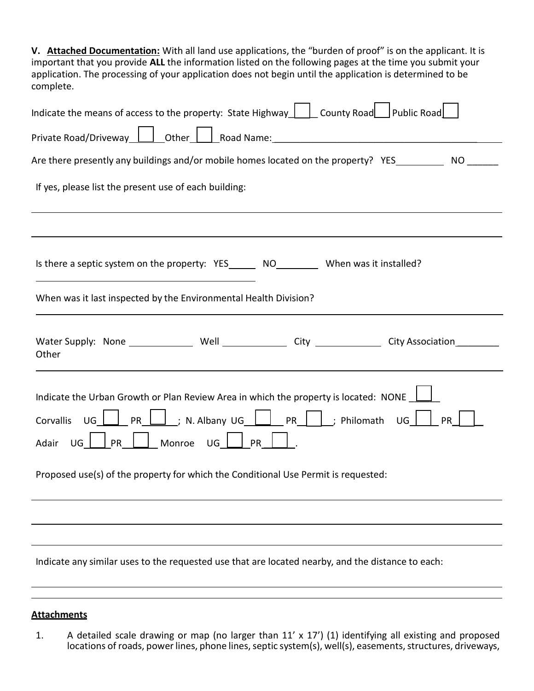**V. Attached Documentation:** With all land use applications, the "burden of proof" is on the applicant. It is important that you provide **ALL** the information listed on the following pages at the time you submit your application. The processing of your application does not begin until the application is determined to be complete.

| Indicate the means of access to the property: State Highway $\vert \phantom{a} \vert$ County Road Public Road                                                                                                                                                                                                                                                                                                                                        |  |  |  |  |  |
|------------------------------------------------------------------------------------------------------------------------------------------------------------------------------------------------------------------------------------------------------------------------------------------------------------------------------------------------------------------------------------------------------------------------------------------------------|--|--|--|--|--|
| Private Road/Driveway <u>Leed Lother Leed Road Name:</u> _____________________________<br>Are there presently any buildings and/or mobile homes located on the property? YES____________ NO _______                                                                                                                                                                                                                                                  |  |  |  |  |  |
|                                                                                                                                                                                                                                                                                                                                                                                                                                                      |  |  |  |  |  |
|                                                                                                                                                                                                                                                                                                                                                                                                                                                      |  |  |  |  |  |
|                                                                                                                                                                                                                                                                                                                                                                                                                                                      |  |  |  |  |  |
| When was it last inspected by the Environmental Health Division?                                                                                                                                                                                                                                                                                                                                                                                     |  |  |  |  |  |
| Water Supply: None ______________ Well _______________ City ______________ City Association_________<br>Other                                                                                                                                                                                                                                                                                                                                        |  |  |  |  |  |
| Indicate the Urban Growth or Plan Review Area in which the property is located: NONE 1<br>Corvallis $\bigcup_{i=1}^n$ PR $\underline{\bigsqcup_{i=1}^n}$ , N. Albany UG $\underline{\bigsqcup_{i=1}^n}$ PR $\underline{\bigsqcup_{i=1}^n}$ Philomath UG $\underline{\bigsqcup_{i=1}^n}$<br><b>PR</b><br>Nonroe UG PR<br>$ $ PR<br>$\bigcup$ $\bigcap$<br>Adair<br>Proposed use(s) of the property for which the Conditional Use Permit is requested: |  |  |  |  |  |
|                                                                                                                                                                                                                                                                                                                                                                                                                                                      |  |  |  |  |  |
|                                                                                                                                                                                                                                                                                                                                                                                                                                                      |  |  |  |  |  |
| Indicate any similar uses to the requested use that are located nearby, and the distance to each:                                                                                                                                                                                                                                                                                                                                                    |  |  |  |  |  |

## **Attachments**

1. A detailed scale drawing or map (no larger than 11' x 17') (1) identifying all existing and proposed locations of roads, power lines, phone lines, septic system(s), well(s), easements, structures, driveways,